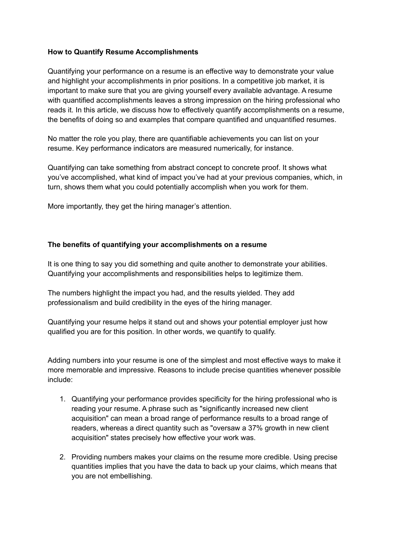### **How to Quantify Resume Accomplishments**

Quantifying your performance on a resume is an effective way to demonstrate your value and highlight your accomplishments in prior positions. In a competitive job market, it is important to make sure that you are giving yourself every available advantage. A resume with quantified accomplishments leaves a strong impression on the hiring professional who reads it. In this article, we discuss how to effectively quantify accomplishments on a resume, the benefits of doing so and examples that compare quantified and unquantified resumes.

No matter the role you play, there are quantifiable achievements you can list on your resume. Key performance indicators are measured numerically, for instance.

Quantifying can take something from abstract concept to concrete proof. It shows what you've accomplished, what kind of impact you've had at your previous companies, which, in turn, shows them what you could potentially accomplish when you work for them.

More importantly, they get the hiring manager's attention.

## **The benefits of quantifying your accomplishments on a resume**

It is one thing to say you did something and quite another to demonstrate your abilities. Quantifying your accomplishments and responsibilities helps to legitimize them.

The numbers highlight the impact you had, and the results yielded. They add professionalism and build credibility in the eyes of the hiring manager.

Quantifying your resume helps it stand out and shows your potential employer just how qualified you are for this position. In other words, we quantify to qualify.

Adding numbers into your resume is one of the simplest and most effective ways to make it more memorable and impressive. Reasons to include precise quantities whenever possible include:

- 1. Quantifying your performance provides specificity for the hiring professional who is reading your resume. A phrase such as "significantly increased new client acquisition" can mean a broad range of performance results to a broad range of readers, whereas a direct quantity such as "oversaw a 37% growth in new client acquisition" states precisely how effective your work was.
- 2. Providing numbers makes your claims on the resume more credible. Using precise quantities implies that you have the data to back up your claims, which means that you are not embellishing.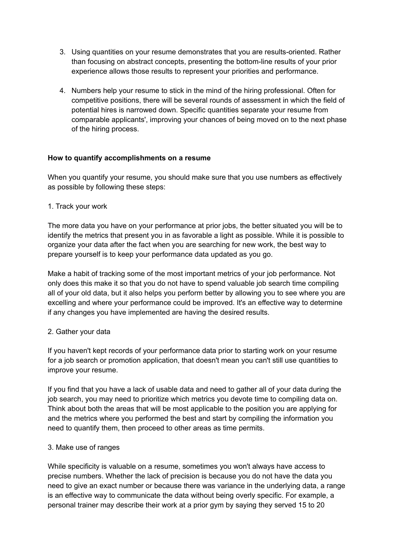- 3. Using quantities on your resume demonstrates that you are results-oriented. Rather than focusing on abstract concepts, presenting the bottom-line results of your prior experience allows those results to represent your priorities and performance.
- 4. Numbers help your resume to stick in the mind of the hiring professional. Often for competitive positions, there will be several rounds of assessment in which the field of potential hires is narrowed down. Specific quantities separate your resume from comparable applicants', improving your chances of being moved on to the next phase of the hiring process.

## **How to quantify accomplishments on a resume**

When you quantify your resume, you should make sure that you use numbers as effectively as possible by following these steps:

1. Track your work

The more data you have on your performance at prior jobs, the better situated you will be to identify the metrics that present you in as favorable a light as possible. While it is possible to organize your data after the fact when you are searching for new work, the best way to prepare yourself is to keep your performance data updated as you go.

Make a habit of tracking some of the most important metrics of your job performance. Not only does this make it so that you do not have to spend valuable job search time compiling all of your old data, but it also helps you perform better by allowing you to see where you are excelling and where your performance could be improved. It's an effective way to determine if any changes you have implemented are having the desired results.

#### 2. Gather your data

If you haven't kept records of your performance data prior to starting work on your resume for a job search or promotion application, that doesn't mean you can't still use quantities to improve your resume.

If you find that you have a lack of usable data and need to gather all of your data during the job search, you may need to prioritize which metrics you devote time to compiling data on. Think about both the areas that will be most applicable to the position you are applying for and the metrics where you performed the best and start by compiling the information you need to quantify them, then proceed to other areas as time permits.

#### 3. Make use of ranges

While specificity is valuable on a resume, sometimes you won't always have access to precise numbers. Whether the lack of precision is because you do not have the data you need to give an exact number or because there was variance in the underlying data, a range is an effective way to communicate the data without being overly specific. For example, a personal trainer may describe their work at a prior gym by saying they served 15 to 20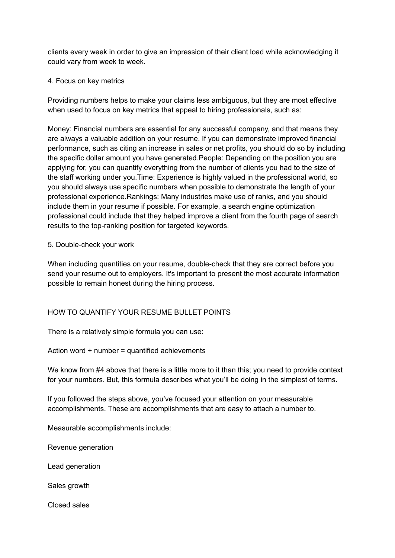clients every week in order to give an impression of their client load while acknowledging it could vary from week to week.

#### 4. Focus on key metrics

Providing numbers helps to make your claims less ambiguous, but they are most effective when used to focus on key metrics that appeal to hiring professionals, such as:

Money: Financial numbers are essential for any successful company, and that means they are always a valuable addition on your resume. If you can demonstrate improved financial performance, such as citing an increase in sales or net profits, you should do so by including the specific dollar amount you have generated.People: Depending on the position you are applying for, you can quantify everything from the number of clients you had to the size of the staff working under you.Time: Experience is highly valued in the professional world, so you should always use specific numbers when possible to demonstrate the length of your professional experience.Rankings: Many industries make use of ranks, and you should include them in your resume if possible. For example, a search engine optimization professional could include that they helped improve a client from the fourth page of search results to the top-ranking position for targeted keywords.

#### 5. Double-check your work

When including quantities on your resume, double-check that they are correct before you send your resume out to employers. It's important to present the most accurate information possible to remain honest during the hiring process.

#### HOW TO QUANTIFY YOUR RESUME BULLET POINTS

There is a relatively simple formula you can use:

Action word + number = quantified achievements

We know from #4 above that there is a little more to it than this; you need to provide context for your numbers. But, this formula describes what you'll be doing in the simplest of terms.

If you followed the steps above, you've focused your attention on your measurable accomplishments. These are accomplishments that are easy to attach a number to.

Measurable accomplishments include:

Revenue generation

Lead generation

Sales growth

Closed sales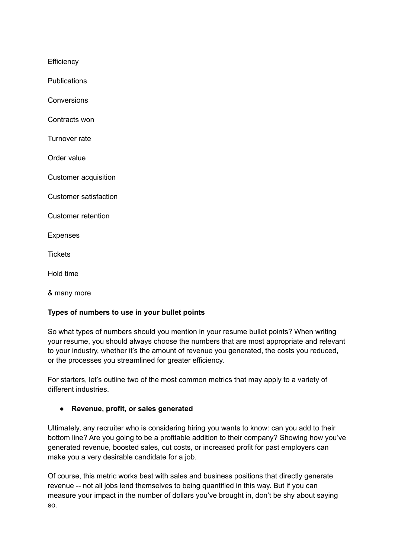**Efficiency** 

**Publications** 

**Conversions** 

Contracts won

Turnover rate

Order value

Customer acquisition

Customer satisfaction

Customer retention

Expenses

**Tickets** 

Hold time

& many more

#### **Types of numbers to use in your bullet points**

So what types of numbers should you mention in your resume bullet points? When writing your resume, you should always choose the numbers that are most appropriate and relevant to your industry, whether it's the amount of revenue you generated, the costs you reduced, or the processes you streamlined for greater efficiency.

For starters, let's outline two of the most common metrics that may apply to a variety of different industries.

#### **● Revenue, profit, or sales generated**

Ultimately, any recruiter who is considering hiring you wants to know: can you add to their bottom line? Are you going to be a profitable addition to their company? Showing how you've generated revenue, boosted sales, cut costs, or increased profit for past employers can make you a very desirable candidate for a job.

Of course, this metric works best with sales and business positions that directly generate revenue -- not all jobs lend themselves to being quantified in this way. But if you can measure your impact in the number of dollars you've brought in, don't be shy about saying so.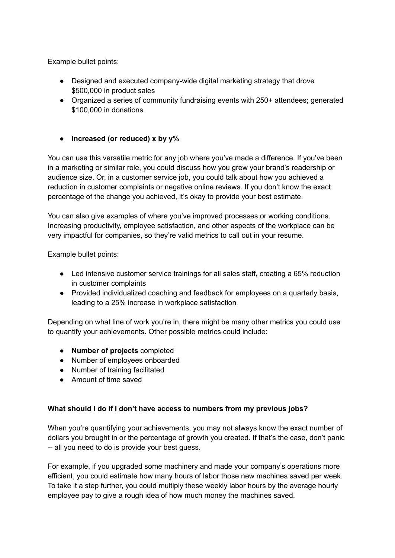Example bullet points:

- Designed and executed company-wide digital marketing strategy that drove \$500,000 in product sales
- Organized a series of community fundraising events with 250+ attendees; generated \$100,000 in donations

# **● Increased (or reduced) x by y%**

You can use this versatile metric for any job where you've made a difference. If you've been in a marketing or similar role, you could discuss how you grew your brand's readership or audience size. Or, in a customer service job, you could talk about how you achieved a reduction in customer complaints or negative online reviews. If you don't know the exact percentage of the change you achieved, it's okay to provide your best estimate.

You can also give examples of where you've improved processes or working conditions. Increasing productivity, employee satisfaction, and other aspects of the workplace can be very impactful for companies, so they're valid metrics to call out in your resume.

Example bullet points:

- Led intensive customer service trainings for all sales staff, creating a 65% reduction in customer complaints
- Provided individualized coaching and feedback for employees on a quarterly basis, leading to a 25% increase in workplace satisfaction

Depending on what line of work you're in, there might be many other metrics you could use to quantify your achievements. Other possible metrics could include:

- **Number of projects** completed
- Number of employees onboarded
- Number of training facilitated
- Amount of time saved

#### **What should I do if I don't have access to numbers from my previous jobs?**

When you're quantifying your achievements, you may not always know the exact number of dollars you brought in or the percentage of growth you created. If that's the case, don't panic -- all you need to do is provide your best guess.

For example, if you upgraded some machinery and made your company's operations more efficient, you could estimate how many hours of labor those new machines saved per week. To take it a step further, you could multiply these weekly labor hours by the average hourly employee pay to give a rough idea of how much money the machines saved.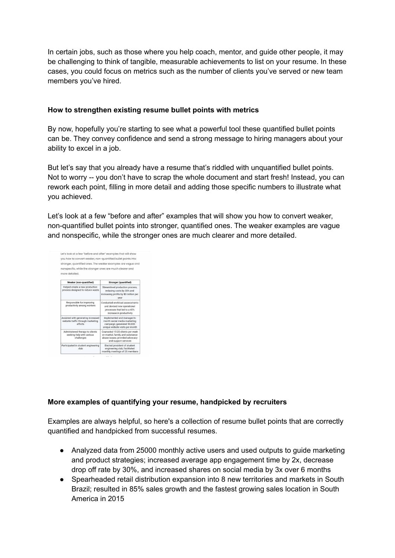In certain jobs, such as those where you help coach, mentor, and guide other people, it may be challenging to think of tangible, measurable achievements to list on your resume. In these cases, you could focus on metrics such as the number of clients you've served or new team members you've hired.

## **How to strengthen existing resume bullet points with metrics**

By now, hopefully you're starting to see what a powerful tool these quantified bullet points can be. They convey confidence and send a strong message to hiring managers about your ability to excel in a job.

But let's say that you already have a resume that's riddled with unquantified bullet points. Not to worry -- you don't have to scrap the whole document and start fresh! Instead, you can rework each point, filling in more detail and adding those specific numbers to illustrate what you achieved.

Let's look at a few "before and after" examples that will show you how to convert weaker, non-quantified bullet points into stronger, quantified ones. The weaker examples are vague and nonspecific, while the stronger ones are much clearer and more detailed.



## **More examples of quantifying your resume, handpicked by recruiters**

Examples are always helpful, so here's a collection of resume bullet points that are correctly quantified and handpicked from successful resumes.

- Analyzed data from 25000 monthly active users and used outputs to guide marketing and product strategies; increased average app engagement time by 2x, decrease drop off rate by 30%, and increased shares on social media by 3x over 6 months
- Spearheaded retail distribution expansion into 8 new territories and markets in South Brazil; resulted in 85% sales growth and the fastest growing sales location in South America in 2015